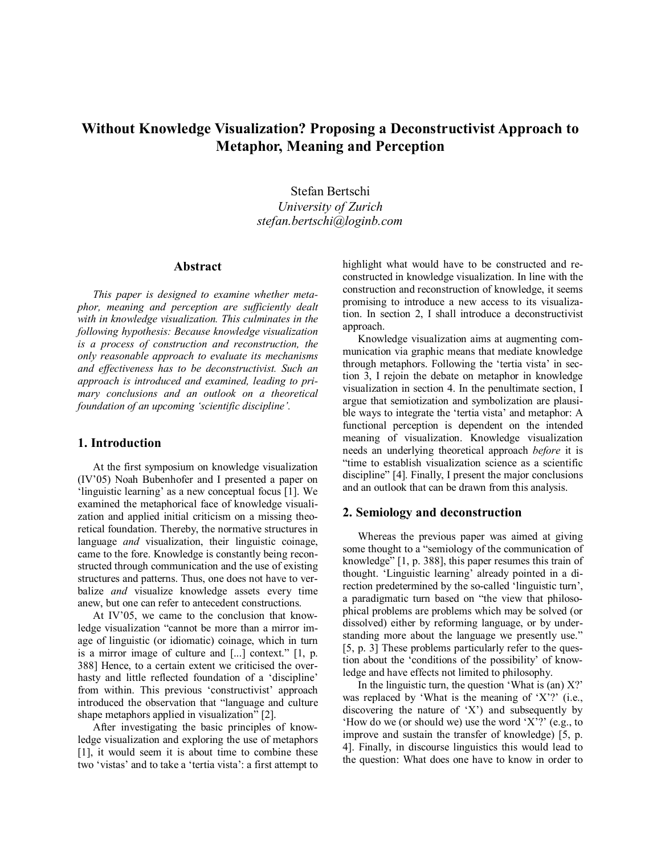# **Without Knowledge Visualization? Proposing a Deconstructivist Approach to Metaphor, Meaning and Perception**

Stefan Bertschi *University of Zurich stefan.bertschi@loginb.com*

# **Abstract**

*This paper is designed to examine whether metaphor, meaning and perception are sufficiently dealt with in knowledge visualization. This culminates in the following hypothesis: Because knowledge visualization is a process of construction and reconstruction, the only reasonable approach to evaluate its mechanisms and effectiveness has to be deconstructivist. Such an approach is introduced and examined, leading to primary conclusions and an outlook on a theoretical foundation of an upcoming 'scientific discipline'.* 

#### **1. Introduction**

At the first symposium on knowledge visualization (IV'05) Noah Bubenhofer and I presented a paper on 'linguistic learning' as a new conceptual focus [1]. We examined the metaphorical face of knowledge visualization and applied initial criticism on a missing theoretical foundation. Thereby, the normative structures in language *and* visualization, their linguistic coinage, came to the fore. Knowledge is constantly being reconstructed through communication and the use of existing structures and patterns. Thus, one does not have to verbalize *and* visualize knowledge assets every time anew, but one can refer to antecedent constructions.

At IV'05, we came to the conclusion that knowledge visualization "cannot be more than a mirror image of linguistic (or idiomatic) coinage, which in turn is a mirror image of culture and [...] context." [1, p. 388] Hence, to a certain extent we criticised the overhasty and little reflected foundation of a 'discipline' from within. This previous 'constructivist' approach introduced the observation that "language and culture shape metaphors applied in visualization" [2].

After investigating the basic principles of knowledge visualization and exploring the use of metaphors [1], it would seem it is about time to combine these two 'vistas' and to take a 'tertia vista': a first attempt to

highlight what would have to be constructed and reconstructed in knowledge visualization. In line with the construction and reconstruction of knowledge, it seems promising to introduce a new access to its visualization. In section 2, I shall introduce a deconstructivist approach.

Knowledge visualization aims at augmenting communication via graphic means that mediate knowledge through metaphors. Following the 'tertia vista' in section 3, I rejoin the debate on metaphor in knowledge visualization in section 4. In the penultimate section, I argue that semiotization and symbolization are plausible ways to integrate the 'tertia vista' and metaphor: A functional perception is dependent on the intended meaning of visualization. Knowledge visualization needs an underlying theoretical approach *before* it is "time to establish visualization science as a scientific discipline" [4]. Finally, I present the major conclusions and an outlook that can be drawn from this analysis.

#### **2. Semiology and deconstruction**

Whereas the previous paper was aimed at giving some thought to a "semiology of the communication of knowledge" [1, p. 388], this paper resumes this train of thought. 'Linguistic learning' already pointed in a direction predetermined by the so-called 'linguistic turn', a paradigmatic turn based on "the view that philosophical problems are problems which may be solved (or dissolved) either by reforming language, or by understanding more about the language we presently use." [5, p. 3] These problems particularly refer to the question about the 'conditions of the possibility' of knowledge and have effects not limited to philosophy.

In the linguistic turn, the question 'What is (an)  $X$ ?' was replaced by 'What is the meaning of 'X'?' (i.e., discovering the nature of 'X') and subsequently by 'How do we (or should we) use the word 'X'?' (e.g., to improve and sustain the transfer of knowledge) [5, p. 4]. Finally, in discourse linguistics this would lead to the question: What does one have to know in order to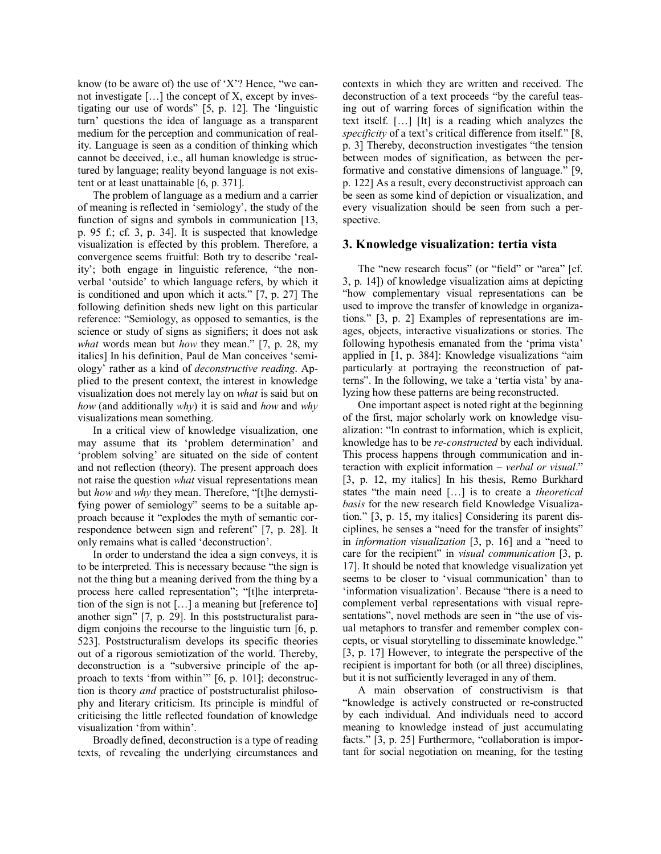know (to be aware of) the use of 'X'? Hence, "we cannot investigate […] the concept of X, except by investigating our use of words" [5, p. 12]. The 'linguistic turn' questions the idea of language as a transparent medium for the perception and communication of reality. Language is seen as a condition of thinking which cannot be deceived, i.e., all human knowledge is structured by language; reality beyond language is not existent or at least unattainable [6, p. 371].

The problem of language as a medium and a carrier of meaning is reflected in 'semiology', the study of the function of signs and symbols in communication [13, p. 95 f.; cf. 3, p. 34]. It is suspected that knowledge visualization is effected by this problem. Therefore, a convergence seems fruitful: Both try to describe 'reality'; both engage in linguistic reference, "the nonverbal 'outside' to which language refers, by which it is conditioned and upon which it acts." [7, p. 27] The following definition sheds new light on this particular reference: "Semiology, as opposed to semantics, is the science or study of signs as signifiers; it does not ask *what* words mean but *how* they mean." [7, p. 28, my italics] In his definition, Paul de Man conceives 'semiology' rather as a kind of *deconstructive reading*. Applied to the present context, the interest in knowledge visualization does not merely lay on *what* is said but on *how* (and additionally *why*) it is said and *how* and *why* visualizations mean something.

In a critical view of knowledge visualization, one may assume that its 'problem determination' and 'problem solving' are situated on the side of content and not reflection (theory). The present approach does not raise the question *what* visual representations mean but *how* and *why* they mean. Therefore, "[t]he demystifying power of semiology" seems to be a suitable approach because it "explodes the myth of semantic correspondence between sign and referent" [7, p. 28]. It only remains what is called 'deconstruction'.

In order to understand the idea a sign conveys, it is to be interpreted. This is necessary because "the sign is not the thing but a meaning derived from the thing by a process here called representation"; "[t]he interpretation of the sign is not […] a meaning but [reference to] another sign" [7, p. 29]. In this poststructuralist paradigm conjoins the recourse to the linguistic turn [6, p. 523]. Poststructuralism develops its specific theories out of a rigorous semiotization of the world. Thereby, deconstruction is a "subversive principle of the approach to texts 'from within'" [6, p. 101]; deconstruction is theory *and* practice of poststructuralist philosophy and literary criticism. Its principle is mindful of criticising the little reflected foundation of knowledge visualization 'from within'.

Broadly defined, deconstruction is a type of reading texts, of revealing the underlying circumstances and

contexts in which they are written and received. The deconstruction of a text proceeds "by the careful teasing out of warring forces of signification within the text itself. […] [It] is a reading which analyzes the *specificity* of a text's critical difference from itself." [8, p. 3] Thereby, deconstruction investigates "the tension between modes of signification, as between the performative and constative dimensions of language." [9, p. 122] As a result, every deconstructivist approach can be seen as some kind of depiction or visualization, and every visualization should be seen from such a perspective.

#### **3. Knowledge visualization: tertia vista**

The "new research focus" (or "field" or "area" [cf. 3, p. 14]) of knowledge visualization aims at depicting "how complementary visual representations can be used to improve the transfer of knowledge in organizations." [3, p. 2] Examples of representations are images, objects, interactive visualizations or stories. The following hypothesis emanated from the 'prima vista' applied in [1, p. 384]: Knowledge visualizations "aim particularly at portraying the reconstruction of patterns". In the following, we take a 'tertia vista' by analyzing how these patterns are being reconstructed.

One important aspect is noted right at the beginning of the first, major scholarly work on knowledge visualization: "In contrast to information, which is explicit, knowledge has to be *re-constructed* by each individual. This process happens through communication and interaction with explicit information – *verbal or visual*." [3, p. 12, my italics] In his thesis, Remo Burkhard states "the main need […] is to create a *theoretical basis* for the new research field Knowledge Visualization." [3, p. 15, my italics] Considering its parent disciplines, he senses a "need for the transfer of insights" in *information visualization* [3, p. 16] and a "need to care for the recipient" in *visual communication* [3, p. 17]. It should be noted that knowledge visualization yet seems to be closer to 'visual communication' than to 'information visualization'. Because "there is a need to complement verbal representations with visual representations", novel methods are seen in "the use of visual metaphors to transfer and remember complex concepts, or visual storytelling to disseminate knowledge." [3, p. 17] However, to integrate the perspective of the recipient is important for both (or all three) disciplines, but it is not sufficiently leveraged in any of them.

A main observation of constructivism is that "knowledge is actively constructed or re-constructed by each individual. And individuals need to accord meaning to knowledge instead of just accumulating facts." [3, p. 25] Furthermore, "collaboration is important for social negotiation on meaning, for the testing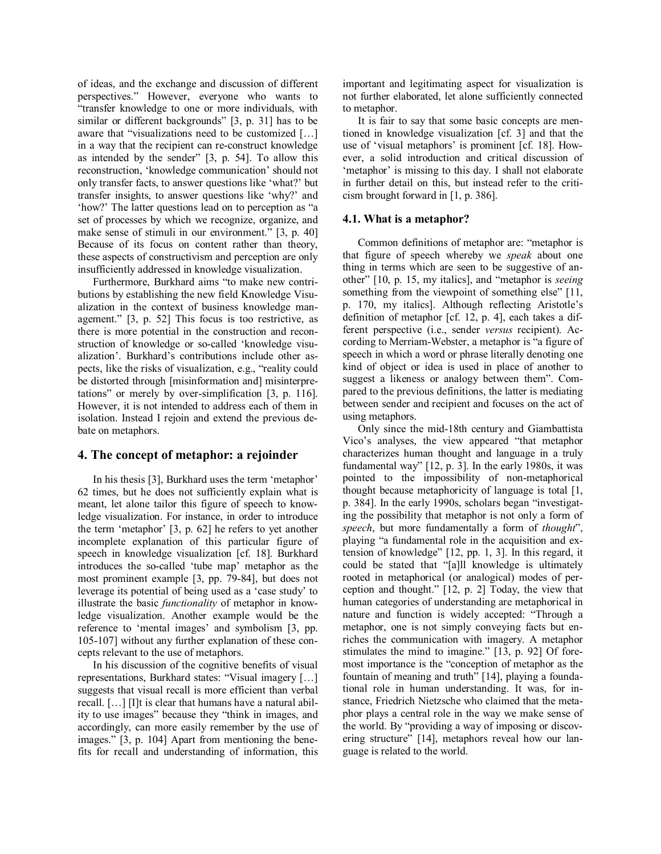of ideas, and the exchange and discussion of different perspectives." However, everyone who wants to "transfer knowledge to one or more individuals, with similar or different backgrounds" [3, p. 31] has to be aware that "visualizations need to be customized […] in a way that the recipient can re-construct knowledge as intended by the sender" [3, p. 54]. To allow this reconstruction, 'knowledge communication' should not only transfer facts, to answer questions like 'what?' but transfer insights, to answer questions like 'why?' and 'how?' The latter questions lead on to perception as "a set of processes by which we recognize, organize, and make sense of stimuli in our environment." [3, p. 40] Because of its focus on content rather than theory, these aspects of constructivism and perception are only insufficiently addressed in knowledge visualization.

Furthermore, Burkhard aims "to make new contributions by establishing the new field Knowledge Visualization in the context of business knowledge management." [3, p. 52] This focus is too restrictive, as there is more potential in the construction and reconstruction of knowledge or so-called 'knowledge visualization'. Burkhard's contributions include other aspects, like the risks of visualization, e.g., "reality could be distorted through [misinformation and] misinterpretations" or merely by over-simplification [3, p. 116]. However, it is not intended to address each of them in isolation. Instead I rejoin and extend the previous debate on metaphors.

# **4. The concept of metaphor: a rejoinder**

In his thesis [3], Burkhard uses the term 'metaphor' 62 times, but he does not sufficiently explain what is meant, let alone tailor this figure of speech to knowledge visualization. For instance, in order to introduce the term 'metaphor' [3, p. 62] he refers to yet another incomplete explanation of this particular figure of speech in knowledge visualization [cf. 18]. Burkhard introduces the so-called 'tube map' metaphor as the most prominent example [3, pp. 79-84], but does not leverage its potential of being used as a 'case study' to illustrate the basic *functionality* of metaphor in knowledge visualization. Another example would be the reference to 'mental images' and symbolism [3, pp. 105-107] without any further explanation of these concepts relevant to the use of metaphors.

In his discussion of the cognitive benefits of visual representations, Burkhard states: "Visual imagery […] suggests that visual recall is more efficient than verbal recall. […] [I]t is clear that humans have a natural ability to use images" because they "think in images, and accordingly, can more easily remember by the use of images." [3, p. 104] Apart from mentioning the benefits for recall and understanding of information, this

important and legitimating aspect for visualization is not further elaborated, let alone sufficiently connected to metaphor.

It is fair to say that some basic concepts are mentioned in knowledge visualization [cf. 3] and that the use of 'visual metaphors' is prominent [cf. 18]. However, a solid introduction and critical discussion of 'metaphor' is missing to this day. I shall not elaborate in further detail on this, but instead refer to the criticism brought forward in [1, p. 386].

#### **4.1. What is a metaphor?**

Common definitions of metaphor are: "metaphor is that figure of speech whereby we *speak* about one thing in terms which are seen to be suggestive of another" [10, p. 15, my italics], and "metaphor is *seeing* something from the viewpoint of something else" [11, p. 170, my italics]. Although reflecting Aristotle's definition of metaphor [cf. 12, p. 4], each takes a different perspective (i.e., sender *versus* recipient). According to Merriam-Webster, a metaphor is "a figure of speech in which a word or phrase literally denoting one kind of object or idea is used in place of another to suggest a likeness or analogy between them". Compared to the previous definitions, the latter is mediating between sender and recipient and focuses on the act of using metaphors.

Only since the mid-18th century and Giambattista Vico's analyses, the view appeared "that metaphor characterizes human thought and language in a truly fundamental way" [12, p. 3]. In the early 1980s, it was pointed to the impossibility of non-metaphorical thought because metaphoricity of language is total [1, p. 384]. In the early 1990s, scholars began "investigating the possibility that metaphor is not only a form of *speech*, but more fundamentally a form of *thought*", playing "a fundamental role in the acquisition and extension of knowledge" [12, pp. 1, 3]. In this regard, it could be stated that "[a]ll knowledge is ultimately rooted in metaphorical (or analogical) modes of perception and thought." [12, p. 2] Today, the view that human categories of understanding are metaphorical in nature and function is widely accepted: "Through a metaphor, one is not simply conveying facts but enriches the communication with imagery. A metaphor stimulates the mind to imagine." [13, p. 92] Of foremost importance is the "conception of metaphor as the fountain of meaning and truth" [14], playing a foundational role in human understanding. It was, for instance, Friedrich Nietzsche who claimed that the metaphor plays a central role in the way we make sense of the world. By "providing a way of imposing or discovering structure" [14], metaphors reveal how our language is related to the world.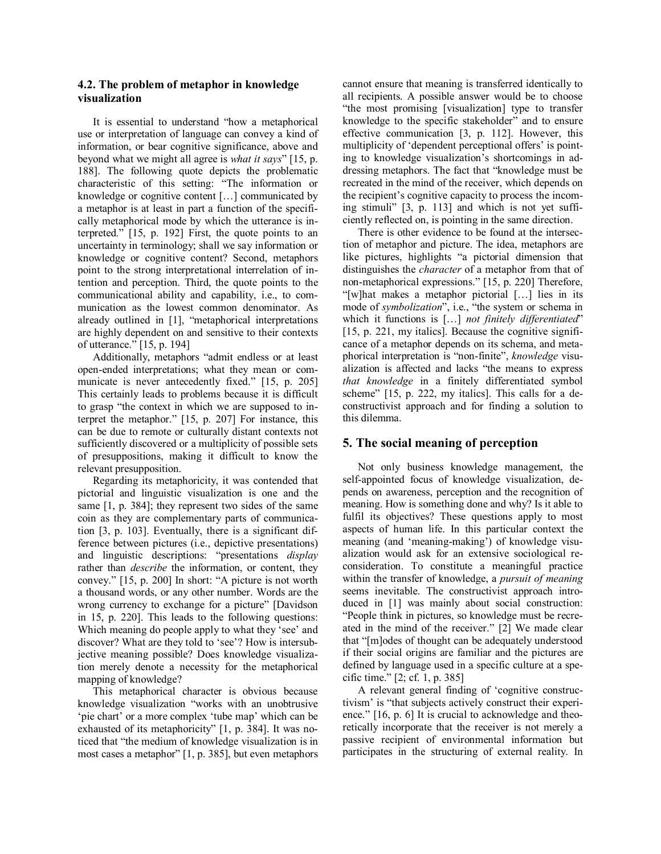# **4.2. The problem of metaphor in knowledge visualization**

It is essential to understand "how a metaphorical use or interpretation of language can convey a kind of information, or bear cognitive significance, above and beyond what we might all agree is *what it says*" [15, p. 188]. The following quote depicts the problematic characteristic of this setting: "The information or knowledge or cognitive content […] communicated by a metaphor is at least in part a function of the specifically metaphorical mode by which the utterance is interpreted." [15, p. 192] First, the quote points to an uncertainty in terminology; shall we say information or knowledge or cognitive content? Second, metaphors point to the strong interpretational interrelation of intention and perception. Third, the quote points to the communicational ability and capability, i.e., to communication as the lowest common denominator. As already outlined in [1], "metaphorical interpretations are highly dependent on and sensitive to their contexts of utterance." [15, p. 194]

Additionally, metaphors "admit endless or at least open-ended interpretations; what they mean or communicate is never antecedently fixed." [15, p. 205] This certainly leads to problems because it is difficult to grasp "the context in which we are supposed to interpret the metaphor." [15, p. 207] For instance, this can be due to remote or culturally distant contexts not sufficiently discovered or a multiplicity of possible sets of presuppositions, making it difficult to know the relevant presupposition.

Regarding its metaphoricity, it was contended that pictorial and linguistic visualization is one and the same [1, p. 384]; they represent two sides of the same coin as they are complementary parts of communication [3, p. 103]. Eventually, there is a significant difference between pictures (i.e., depictive presentations) and linguistic descriptions: "presentations *display* rather than *describe* the information, or content, they convey." [15, p. 200] In short: "A picture is not worth a thousand words, or any other number. Words are the wrong currency to exchange for a picture" [Davidson in 15, p. 220]. This leads to the following questions: Which meaning do people apply to what they 'see' and discover? What are they told to 'see'? How is intersubjective meaning possible? Does knowledge visualization merely denote a necessity for the metaphorical mapping of knowledge?

This metaphorical character is obvious because knowledge visualization "works with an unobtrusive 'pie chart' or a more complex 'tube map' which can be exhausted of its metaphoricity" [1, p. 384]. It was noticed that "the medium of knowledge visualization is in most cases a metaphor" [1, p. 385], but even metaphors

cannot ensure that meaning is transferred identically to all recipients. A possible answer would be to choose "the most promising [visualization] type to transfer knowledge to the specific stakeholder" and to ensure effective communication [3, p. 112]. However, this multiplicity of 'dependent perceptional offers' is pointing to knowledge visualization's shortcomings in addressing metaphors. The fact that "knowledge must be recreated in the mind of the receiver, which depends on the recipient's cognitive capacity to process the incoming stimuli" [3, p. 113] and which is not yet sufficiently reflected on, is pointing in the same direction.

There is other evidence to be found at the intersection of metaphor and picture. The idea, metaphors are like pictures, highlights "a pictorial dimension that distinguishes the *character* of a metaphor from that of non-metaphorical expressions." [15, p. 220] Therefore, "[w]hat makes a metaphor pictorial […] lies in its mode of *symbolization*", i.e., "the system or schema in which it functions is [...] *not finitely differentiated*" [15, p. 221, my italics]. Because the cognitive significance of a metaphor depends on its schema, and metaphorical interpretation is "non-finite", *knowledge* visualization is affected and lacks "the means to express *that knowledge* in a finitely differentiated symbol scheme" [15, p. 222, my italics]. This calls for a deconstructivist approach and for finding a solution to this dilemma.

# **5. The social meaning of perception**

Not only business knowledge management, the self-appointed focus of knowledge visualization, depends on awareness, perception and the recognition of meaning. How is something done and why? Is it able to fulfil its objectives? These questions apply to most aspects of human life. In this particular context the meaning (and 'meaning-making') of knowledge visualization would ask for an extensive sociological reconsideration. To constitute a meaningful practice within the transfer of knowledge, a *pursuit of meaning* seems inevitable. The constructivist approach introduced in [1] was mainly about social construction: "People think in pictures, so knowledge must be recreated in the mind of the receiver." [2] We made clear that "[m]odes of thought can be adequately understood if their social origins are familiar and the pictures are defined by language used in a specific culture at a specific time." [2; cf. 1, p. 385]

A relevant general finding of 'cognitive constructivism' is "that subjects actively construct their experience." [16, p. 6] It is crucial to acknowledge and theoretically incorporate that the receiver is not merely a passive recipient of environmental information but participates in the structuring of external reality. In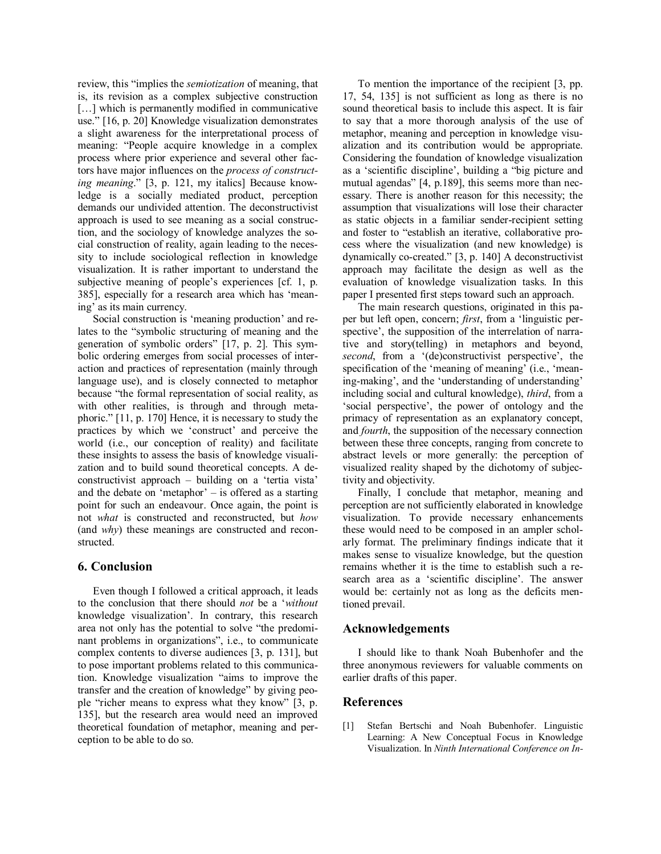review, this "implies the *semiotization* of meaning, that is, its revision as a complex subjective construction [...] which is permanently modified in communicative use." [16, p. 20] Knowledge visualization demonstrates a slight awareness for the interpretational process of meaning: "People acquire knowledge in a complex process where prior experience and several other factors have major influences on the *process of constructing meaning*." [3, p. 121, my italics] Because knowledge is a socially mediated product, perception demands our undivided attention. The deconstructivist approach is used to see meaning as a social construction, and the sociology of knowledge analyzes the social construction of reality, again leading to the necessity to include sociological reflection in knowledge visualization. It is rather important to understand the subjective meaning of people's experiences [cf. 1, p. 385], especially for a research area which has 'meaning' as its main currency.

Social construction is 'meaning production' and relates to the "symbolic structuring of meaning and the generation of symbolic orders" [17, p. 2]. This symbolic ordering emerges from social processes of interaction and practices of representation (mainly through language use), and is closely connected to metaphor because "the formal representation of social reality, as with other realities, is through and through metaphoric." [11, p. 170] Hence, it is necessary to study the practices by which we 'construct' and perceive the world (i.e., our conception of reality) and facilitate these insights to assess the basis of knowledge visualization and to build sound theoretical concepts. A deconstructivist approach – building on a 'tertia vista' and the debate on 'metaphor' – is offered as a starting point for such an endeavour. Once again, the point is not *what* is constructed and reconstructed, but *how* (and *why*) these meanings are constructed and reconstructed.

# **6. Conclusion**

Even though I followed a critical approach, it leads to the conclusion that there should *not* be a '*without* knowledge visualization'. In contrary, this research area not only has the potential to solve "the predominant problems in organizations", i.e., to communicate complex contents to diverse audiences [3, p. 131], but to pose important problems related to this communication. Knowledge visualization "aims to improve the transfer and the creation of knowledge" by giving people "richer means to express what they know" [3, p. 135], but the research area would need an improved theoretical foundation of metaphor, meaning and perception to be able to do so.

To mention the importance of the recipient [3, pp. 17, 54, 135] is not sufficient as long as there is no sound theoretical basis to include this aspect. It is fair to say that a more thorough analysis of the use of metaphor, meaning and perception in knowledge visualization and its contribution would be appropriate. Considering the foundation of knowledge visualization as a 'scientific discipline', building a "big picture and mutual agendas" [4, p.189], this seems more than necessary. There is another reason for this necessity; the assumption that visualizations will lose their character as static objects in a familiar sender-recipient setting and foster to "establish an iterative, collaborative process where the visualization (and new knowledge) is dynamically co-created." [3, p. 140] A deconstructivist approach may facilitate the design as well as the evaluation of knowledge visualization tasks. In this paper I presented first steps toward such an approach.

The main research questions, originated in this paper but left open, concern; *first*, from a 'linguistic perspective', the supposition of the interrelation of narrative and story(telling) in metaphors and beyond, *second*, from a '(de)constructivist perspective', the specification of the 'meaning of meaning' (i.e., 'meaning-making', and the 'understanding of understanding' including social and cultural knowledge), *third*, from a 'social perspective', the power of ontology and the primacy of representation as an explanatory concept, and *fourth*, the supposition of the necessary connection between these three concepts, ranging from concrete to abstract levels or more generally: the perception of visualized reality shaped by the dichotomy of subjectivity and objectivity.

Finally, I conclude that metaphor, meaning and perception are not sufficiently elaborated in knowledge visualization. To provide necessary enhancements these would need to be composed in an ampler scholarly format. The preliminary findings indicate that it makes sense to visualize knowledge, but the question remains whether it is the time to establish such a research area as a 'scientific discipline'. The answer would be: certainly not as long as the deficits mentioned prevail.

# **Acknowledgements**

I should like to thank Noah Bubenhofer and the three anonymous reviewers for valuable comments on earlier drafts of this paper.

# **References**

[1] Stefan Bertschi and Noah Bubenhofer. Linguistic Learning: A New Conceptual Focus in Knowledge Visualization. In *Ninth International Conference on In-*